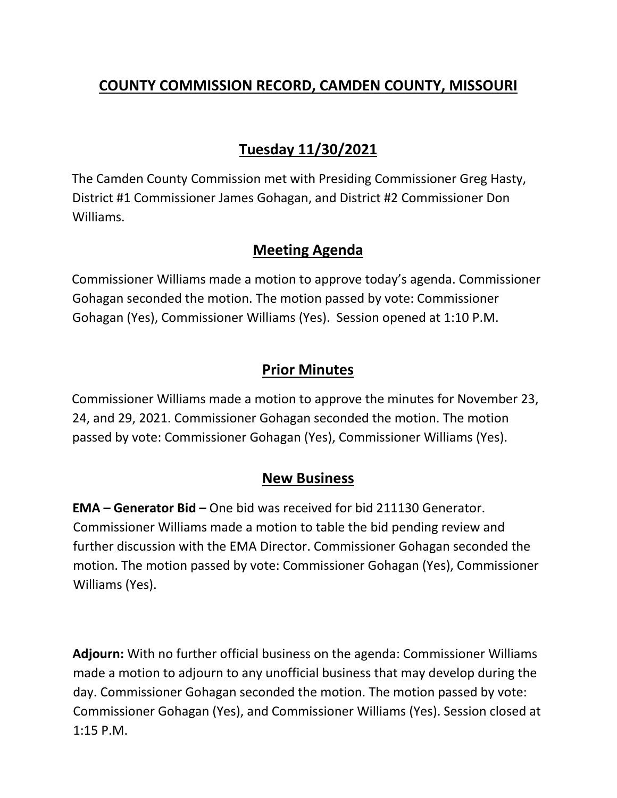# **COUNTY COMMISSION RECORD, CAMDEN COUNTY, MISSOURI**

# **Tuesday 11/30/2021**

The Camden County Commission met with Presiding Commissioner Greg Hasty, District #1 Commissioner James Gohagan, and District #2 Commissioner Don Williams.

### **Meeting Agenda**

Commissioner Williams made a motion to approve today's agenda. Commissioner Gohagan seconded the motion. The motion passed by vote: Commissioner Gohagan (Yes), Commissioner Williams (Yes). Session opened at 1:10 P.M.

### **Prior Minutes**

Commissioner Williams made a motion to approve the minutes for November 23, 24, and 29, 2021. Commissioner Gohagan seconded the motion. The motion passed by vote: Commissioner Gohagan (Yes), Commissioner Williams (Yes).

#### **New Business**

**EMA – Generator Bid –** One bid was received for bid 211130 Generator. Commissioner Williams made a motion to table the bid pending review and further discussion with the EMA Director. Commissioner Gohagan seconded the motion. The motion passed by vote: Commissioner Gohagan (Yes), Commissioner Williams (Yes).

**Adjourn:** With no further official business on the agenda: Commissioner Williams made a motion to adjourn to any unofficial business that may develop during the day. Commissioner Gohagan seconded the motion. The motion passed by vote: Commissioner Gohagan (Yes), and Commissioner Williams (Yes). Session closed at 1:15 P.M.